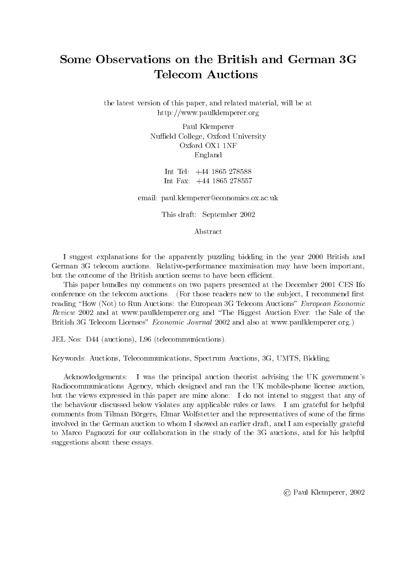# Some Observations on the British and German 3G **Telecom Auctions**

the latest version of this paper, and related material, will be at http://www.paulklemperer.org

> Paul Klemperer Nuffield College, Oxford University Oxford OX1 1NF England

> > Int Tel: +44 1865 278588 Int Fax: +44 1865 278557

email: paul.klemperer@economics.ox.ac.uk

This draft: September 2002

Abstract

I suggest explanations for the apparently puzzling bidding in the year 2000 British and German 3G telecom auctions. Relative-performance maximisation may have been important, but the outcome of the British auction seems to have been efficient.

This paper bundles my comments on two papers presented at the December 2001 CES Ifo conference on the telecom auctions. (For those readers new to the subject, I recommend first reading "How (Not) to Run Auctions: the European 3G Telecom Auctions" European Economic Review 2002 and at www.paulklemperer.org and "The Biggest Auction Ever: the Sale of the British 3G Telecom Licenses" *Economic Journal* 2002 and also at www.paulklemperer.org.)

JEL Nos: D44 (auctions), L96 (telecommunications).

Keywords: Auctions, Telecommunications, Spectrum Auctions, 3G, UMTS, Bidding.

Acknowledgements: I was the principal auction theorist advising the UK government's Radiocommunications Agency, which designed and ran the UK mobile-phone license auction, but the views expressed in this paper are mine alone. I do not intend to suggest that any of the behaviour discussed below violates any applicable rules or laws. I am grateful for helpful comments from Tilman Börgers, Elmar Wolfstetter and the representatives of some of the firms involved in the German auction to whom I showed an earlier draft, and I am especially grateful to Marco Pagnozzi for our collaboration in the study of the 3G auctions, and for his helpful suggestions about these essays.

c Paul Klemperer, 2002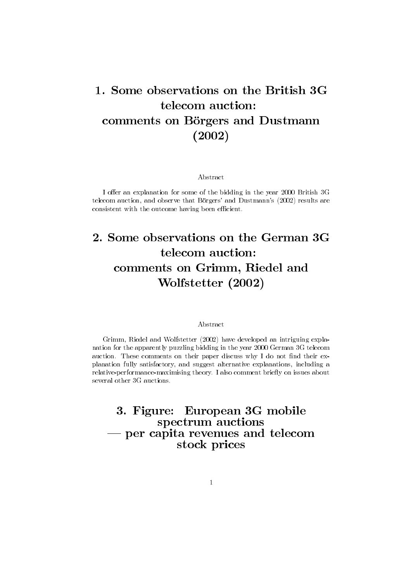# 1. Some observations on the British 3Gservations on the<br>telecom auction: Some observations on the British 30<br>telecom auction:<br>comments on Börgers and Dustmann comments on Börgers and Dustmann tions o  $(2002)$

Abstract

I offer an explanation for some of the bidding in the year 2000 British 3G<br>
1 telecom auction, and observe that Börgers' and Dustmann's (2002) results are<br>
consistent with the outcome having been efficient.<br>
2 Some observa telecom auction, and observe that Börgers' and Dustmann's (2002) results are consistent with the outcome having been efficient.

# $\frac{1}{100}$  come having been efficient.<br> $\frac{1}{100}$  servations on the  $\frac{1}{100}$  suction: ome observations on the German<br>telecom auction:<br>comments on Grimm, Riedel and servations on the C<br>telecom auction:<br>nts on Grimm, Rie<br>Wolfstetter (2002) Wolfstetter (2002)

#### Abstract

Grimm, Riedel and Wolfstetter (2002) have developed an intriguing explanation for the apparently puzzling bidding in the year 2000 German 3G telecom auction. These comments on their paper discuss why I do not find their explanation fully satisfactory, and suggest alternative explanations, including a relative-performance-maximising theory. I also comment briefly on issues about several other 3G auctions. of fully satisfactory, and suggest alternative explanations, include the performance-maximising theory. I also comment briefly on issue other 3G auctions.<br>3. Figure: European 3G mobile

maximising theory. Talso comment is<br>lons.<br>rectrum auctions 3. Figure: European 3G mobile<br>spectrum auctions<br>— per capita revenues and telecom — per capita revenues and telecom European<br>ctrum aucti<br>a revenues<br>stock prices stock prices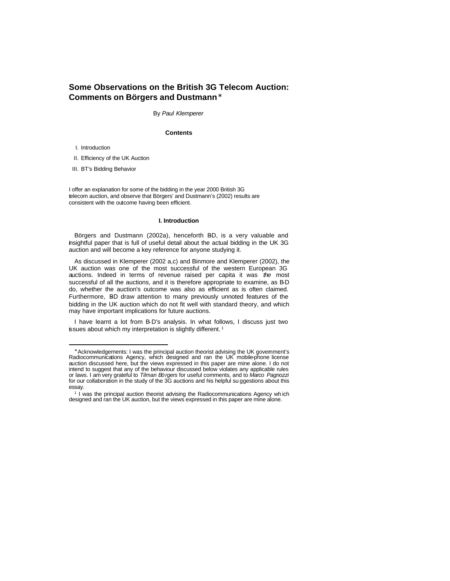## **Some Observations on the British 3G Telecom Auction: Comments on Börgers and Dustmann\***

By *Paul Klemperer*

#### **Contents**

I. Introduction

 $\overline{a}$ 

II. Efficiency of the UK Auction

III. BT's Bidding Behavior

I offer an explanation for some of the bidding in the year 2000 British 3G telecom auction, and observe that Börgers' and Dustmann's (2002) results are consistent with the outcome having been efficient.

#### **I. Introduction**

Börgers and Dustmann (2002a), henceforth BD, is a very valuable and insightful paper that is full of useful detail about the actual bidding in the UK 3G auction and will become a key reference for anyone studying it.

As discussed in Klemperer (2002 a,c) and Binmore and Klemperer (2002), the UK auction was one of the most successful of the western European 3G auctions. Indeed in terms of revenue raised per capita it was *the* most successful of all the auctions, and it is therefore appropriate to examine, as B-D do, whether the auction's outcome was also as efficient as is often claimed. Furthermore, BD draw attention to many previously unnoted features of the bidding in the UK auction which do not fit well with standard theory, and which may have important implications for future auctions.

I have learnt a lot from B-D's analysis. In what follows, I discuss just two issues about which my interpretation is slightly different.<sup>1</sup>

<sup>∗</sup> Acknowledgements: I was the principal auction theorist advising the UK government's Radiocommunications Agency, which designed and ran the UK mobile-phone license auction discussed here, but the views expressed in this paper are mine alone. I do not intend to suggest that any of the behaviour discussed below violates any applicable rules or laws. I am very grateful to *Tilman Börgers* for useful comments, and to *Marco Pagnozzi* for our collaboration in the study of the 3G auctions and his helpful su ggestions about this essay.

<sup>&</sup>lt;sup>1</sup> I was the principal auction theorist advising the Radiocommunications Agency wh ich designed and ran the UK auction, but the views expressed in this paper are mine alone.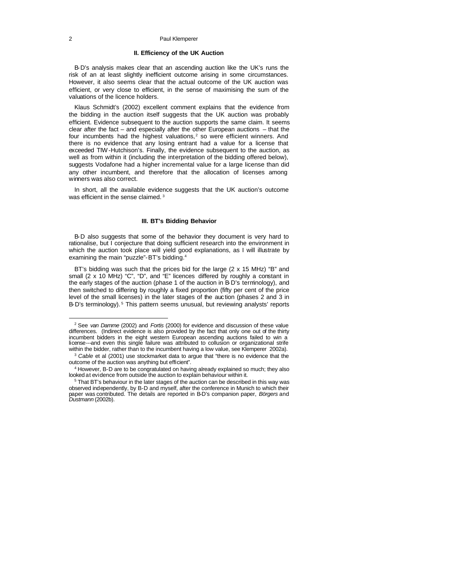#### **II. Efficiency of the UK Auction**

B-D's analysis makes clear that an ascending auction like the UK's runs the risk of an at least slightly inefficient outcome arising in some circumstances. However, it also seems clear that the actual outcome of the UK auction was efficient, or very close to efficient, in the sense of maximising the sum of the valuations of the licence holders.

Klaus Schmidt's (2002) excellent comment explains that the evidence from the bidding in the auction itself suggests that the UK auction was probably efficient. Evidence subsequent to the auction supports the same claim. It seems clear after the fact – and especially after the other European auctions – that the four incumbents had the highest valuations, $2$  so were efficient winners. And there is no evidence that any losing entrant had a value for a license that exceeded TIW-Hutchison's. Finally, the evidence subsequent to the auction, as well as from within it (including the interpretation of the bidding offered below), suggests Vodafone had a higher incremental value for a large license than did any other incumbent, and therefore that the allocation of licenses among winners was also correct.

In short, all the available evidence suggests that the UK auction's outcome was efficient in the sense claimed.<sup>3</sup>

#### **III. BT's Bidding Behavior**

B-D also suggests that some of the behavior they document is very hard to rationalise, but I conjecture that doing sufficient research into the environment in which the auction took place will yield good explanations, as I will illustrate by examining the main "puzzle"-BT's bidding.<sup>4</sup>

BT's bidding was such that the prices bid for the large (2 x 15 MHz) "B" and small (2 x 10 MHz) "C", "D", and "E" licences differed by roughly a constant in the early stages of the auction (phase 1 of the auction in B-D's terminology), and then switched to differing by roughly a fixed proportion (fifty per cent of the price level of the small licenses) in the later stages of the auction (phases 2 and 3 in B-D's terminology).<sup>5</sup> This pattern seems unusual, but reviewing analysts' reports

<sup>2</sup> See *van Damme* (2002) and *Fortis* (2000) for evidence and discussion of these value differences. (Indirect evidence is also provided by the fact that only one out of the thirty incumbent bidders in the eight western European ascending auctions failed to win a license---and even this single failure was attributed to collusion or organizational strife within the bidder, rather than to the incumbent having a low value, see Klemperer 2002a).

<sup>3</sup> *Cable* et al (2001) use stockmarket data to argue that "there is no evidence that the outcome of the auction was anything but efficient".

<sup>&</sup>lt;sup>4</sup> However, B-D are to be congratulated on having already explained so much; they also looked at evidence from outside the auction to explain behaviour within it.

<sup>&</sup>lt;sup>5</sup> That BT's behaviour in the later stages of the auction can be described in this way was observed independently, by B-D and myself, after the conference in Munich to which their paper was contributed. The details are reported in B-D's companion paper, *Börgers* and *Dustmann* (2002b).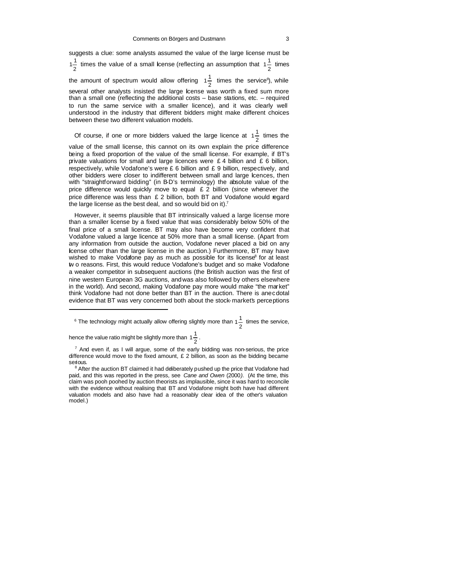suggests a clue: some analysts assumed the value of the large license must be 2  $1\frac{1}{2}$  times the value of a small icense (reflecting an assumption that  $1\frac{1}{2}$  $1\frac{1}{2}$  times the amount of spectrum would allow offering  $1\frac{1}{2}$  $1\frac{1}{2}$  times the service<sup>6</sup>), while several other analysts insisted the large icense was worth a fixed sum more than a small one (reflecting the additional costs – base stations, etc. – required to run the same service with a smaller licence), and it was clearly well understood in the industry that different bidders might make different choices between these two different valuation models.

Of course, if one or more bidders valued the large licence at  $1\frac{1}{2}$  $1\frac{1}{2}$  times the value of the small license, this cannot on its own explain the price difference being a fixed proportion of the value of the small license. For example, if BT's private valuations for small and large licences were £ 4 billion and £ 6 billion, respectively, while Vodafone's were £ 6 billion and £ 9 billion, respectively, and other bidders were closer to indifferent between small and large licences, then with "straightforward bidding" (in B-D's terminology) the absolute value of the price difference would quickly move to equal £ 2 billion (since whenever the

price difference was less than  $E$  2 billion, both BT and Vodafone would regard

the large license as the best deal, and so would bid on it).<sup>7</sup>

However, it seems plausible that BT intrinsically valued a large license more than a smaller license by a fixed value that was considerably below 50% of the final price of a small license. BT may also have become very confident that Vodafone valued a large licence at 50% more than a small license. (Apart from any information from outside the auction, Vodafone never placed a bid on any license other than the large license in the auction.) Furthermore, BT may have wished to make Vodafone pay as much as possible for its license<sup>8</sup> for at least tw o reasons. First, this would reduce Vodafone's budget and so make Vodafone a weaker competitor in subsequent auctions (the British auction was the first of nine western European 3G auctions, and was also followed by others elsewhere in the world). And second, making Vodafone pay more would make "the market" think Vodafone had not done better than BT in the auction. There is anecdotal evidence that BT was very concerned both about the stock-market's perceptions

 $6$  The technology might actually allow offering slightly more than 1  $\frac{1}{2}$  $1\frac{1}{2}$  times the service,

hence the value ratio might be slightly more than  $1\frac{1}{2}$  $1\frac{1}{2}$ .

 $\overline{a}$ 

 $7$  And even if, as I will argue, some of the early bidding was non-serious, the price difference would move to the fixed amount,  $E$  2 billion, as soon as the bidding became serious.

<sup>&</sup>lt;sup>8</sup> After the auction BT claimed it had deliberately pushed up the price that Vodafone had paid, and this was reported in the press, see *Cane and Owen* (2000*)*. (At the time, this claim was pooh poohed by auction theorists as implausible, since it was hard to reconcile with the evidence without realising that BT and Vodafone might both have had different valuation models and also have had a reasonably clear idea of the other's valuation model.)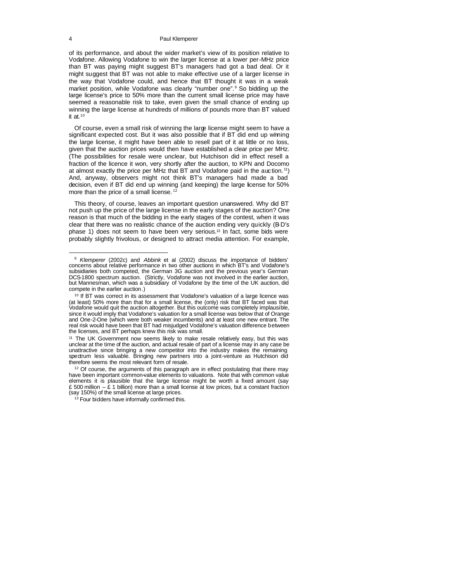of its performance, and about the wider market's view of its position relative to Vodafone. Allowing Vodafone to win the larger license at a lower per-MHz price than BT was paying might suggest BT's managers had got a bad deal. Or it might suggest that BT was not able to make effective use of a larger license in the way that Vodafone could, and hence that BT thought it was in a weak market position, while Vodafone was clearly "number one".<sup>9</sup> So bidding up the large license's price to 50% more than the current small license price may have seemed a reasonable risk to take, even given the small chance of ending up winning the large license at hundreds of millions of pounds more than BT valued it at. $10$ 

Of course, even a small risk of winning the large license might seem to have a significant expected cost. But it was also possible that if BT did end up winning the large license, it might have been able to resell part of it at little or no loss, given that the auction prices would then have established a clear price per MHz. (The possibilities for resale were unclear, but Hutchison did in effect resell a fraction of the licence it won, very shortly after the auction, to KPN and Docomo at almost exactly the price per MHz that BT and Vodafone paid in the auction.<sup>11</sup>) And, anyway, observers might not think BT's managers had made a bad decision, even if BT did end up winning (and keeping) the large license for 50% more than the price of a small license.<sup>12</sup>

This theory, of course, leaves an important question unanswered. Why did BT not push up the price of the large license in the early stages of the auction? One reason is that much of the bidding in the early stages of the contest, when it was clear that there was no realistic chance of the auction ending very quickly (BD's phase 1) does not seem to have been very serious.13 In fact, some bids were probably slightly frivolous, or designed to attract media attention. For example,

<sup>9</sup> *Klemperer* (2002c) and *Abbink* et al (2002) discuss the importance of bidders' concerns about relative performance in two other auctions in which BT's and Vodafone's subsidiaries both competed, the German 3G auction and the previous year's German DCS-1800 spectrum auction. (Strictly, Vodafone was not involved in the earlier auction, but Mannesman, which was a subsidiary of Vodafone by the time of the UK auction, did compete in the earlier auction.)

<sup>&</sup>lt;sup>10</sup> If BT was correct in its assessment that Vodafone's valuation of a large licence was (at least) 50% more than that for a small license, the (only) risk that BT faced was that Vodafone would quit the auction altogether. But this outcome was completely implausible, since it would imply that Vodafone's valuation for a small license was below that of Orange and One-2-One (which were both weaker incumbents) and at least one new entrant. The real risk would have been that BT had misjudged Vodafone's valuation difference between the licenses, and BT perhaps knew this risk was small.

<sup>&</sup>lt;sup>11</sup> The UK Government now seems likely to make resale relatively easy, but this was unclear at the time of the auction, and actual resale of part of a license may in any case be unattractive since bringing a new competitor into the industry makes the remaining spectrum less valuable. Bringing new partners into a joint-venture as Hutchison did therefore seems the most relevant form of resale.

 $12$  Of course, the arguments of this paragraph are in effect postulating that there may have been important common-value elements to valuations. Note that with common value elements it is plausible that the large license might be worth a fixed amount (say £ 500 million  $-$  £ 1 billion) more than a small license at low prices, but a constant fraction (say 150%) of the small license at large prices.

<sup>&</sup>lt;sup>13</sup> Four bidders have informally confirmed this.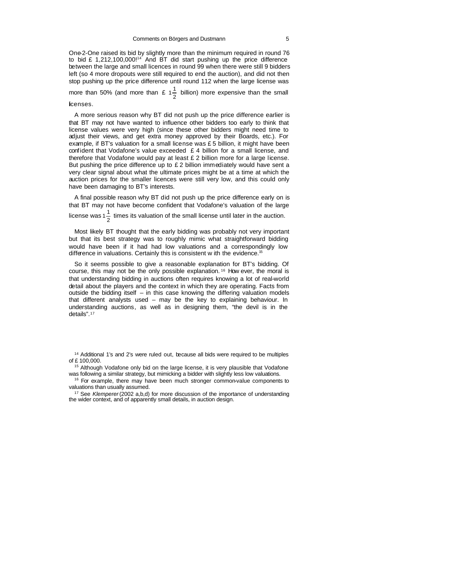One-2-One raised its bid by slightly more than the minimum required in round 76 to bid £ 1,212,100,000!<sup>14</sup> And BT did start pushing up the price difference between the large and small licences in round 99 when there were still 9 bidders left (so 4 more dropouts were still required to end the auction), and did not then stop pushing up the price difference until round 112 when the large license was

more than 50% (and more than £  $1\frac{1}{2}$ )  $1\frac{1}{2}$  billion) more expensive than the small

#### licenses.

A more serious reason why BT did not push up the price difference earlier is that BT may not have wanted to influence other bidders too early to think that license values were very high (since these other bidders might need time to adjust their views, and get extra money approved by their Boards, etc.). For example, if BT's valuation for a small license was  $£5$  billion, it might have been confident that Vodafone's value exceeded  $£ 4$  billion for a small license, and therefore that Vodafone would pay at least  $E$  2 billion more for a large license. But pushing the price difference up to  $£ 2$  billion immediately would have sent a very clear signal about what the ultimate prices might be at a time at which the auction prices for the smaller licences were still very low, and this could only have been damaging to BT's interests.

A final possible reason why BT did not push up the price difference early on is that BT may not have become confident that Vodafone's valuation of the large

license was 1 $\frac{1}{2}$  $1\frac{1}{5}$  times its valuation of the small license until later in the auction.

Most likely BT thought that the early bidding was probably not very important but that its best strategy was to roughly mimic what straightforward bidding would have been if it had had low valuations and a correspondingly low difference in valuations. Certainly this is consistent w ith the evidence.<sup>15</sup>

So it seems possible to give a reasonable explanation for BT's bidding. Of course, this may not be the only possible explanation. <sup>16</sup> How ever, the moral is that understanding bidding in auctions often requires knowing a lot of real-world detail about the players and the context in which they are operating. Facts from outside the bidding itself – in this case knowing the differing valuation models that different analysts used – may be the key to explaining behaviour. In understanding auctions, as well as in designing them, "the devil is in the details".<sup>17</sup>

<sup>14</sup> Additional 1's and 2's were ruled out, because all bids were required to be multiples of £ 100,000.

<sup>15</sup> Although Vodafone only bid on the large license, it is very plausible that Vodafone was following a similar strategy, but mimicking a bidder with slightly less low valuations.

<sup>16</sup> For example, there may have been much stronger common-value components to valuations than usually assumed.

<sup>17</sup> See *Klemperer* (2002 a,b,d) for more discussion of the importance of understanding the wider context, and of apparently small details, in auction design.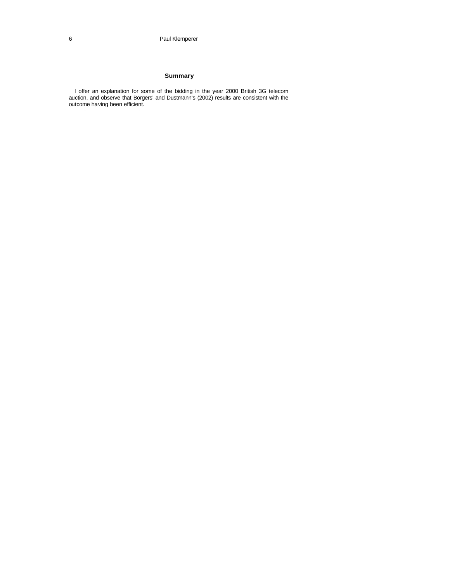### **Summary**

I offer an explanation for some of the bidding in the year 2000 British 3G telecom auction, and observe that Börgers' and Dustmann's (2002) results are consistent with the outcome having been efficient.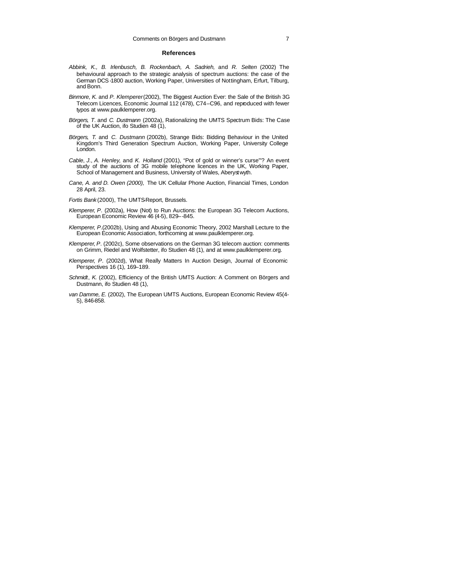#### **References**

- *Abbink, K., B. Irlenbusch, B. Rockenbach, A. Sadrieh,* and *R. Selten* (2002) The behavioural approach to the strategic analysis of spectrum auctions: the case of the German DCS-1800 auction, Working Paper, Universities of Nottingham, Erfurt, Tilburg, and Bonn.
- *Binmore*, *K*. and *P. Klemperer* (2002), The Biggest Auction Ever: the Sale of the British 3G Telecom Licences, Economic Journal 112 (478), C74–C96, and reproduced with fewer typos at www.paulklemperer.org.
- *Börgers*, *T*. and *C. Dustmann* (2002a), Rationalizing the UMTS Spectrum Bids: The Case of the UK Auction, ifo Studien 48 (1),
- *Börgers*, *T.* and *C. Dustmann* (2002b), Strange Bids: Bidding Behaviour in the United Kingdom's Third Generation Spectrum Auction, Working Paper, University College London.
- *Cable*, *J*., *A. Henley*, and *K. Holland* (2001), "Pot of gold or winner's curse"'? An event study of the auctions of 3G mobile telephone licences in the UK, Working Paper, School of Management and Business, University of Wales, Aberyst wyth.
- *Cane, A. and D. Owen (2000),* The UK Cellular Phone Auction, Financial Times, London 28 April, 23.

Fortis Bank(2000), The UMTS-Report, Brussels.

- *Klemperer*, *P*. (2002a), How (Not) to Run Auctions: the European 3G Telecom Auctions, European Economic Review 46 (4-5), 829–-845.
- *Klemperer*, *P*.(2002b), Using and Abusing Economic Theory, 2002 Marshall Lecture to the European Economic Association, forthcoming at www.paulklemperer.org.
- *Klemperer*, *P*. (2002c), Some observations on the German 3G telecom auction: comments on Grimm, Riedel and Wolfstetter, ifo Studien 48 (1), and at www.paulklemperer.org.
- *Klemperer*, *P*. (2002d), What Really Matters In Auction Design, Journal of Economic Perspectives 16 (1), 169–189.
- *Schmidt*, *K*. (2002), Efficiency of the British UMTS Auction: A Comment on Börgers and Dustmann, ifo Studien 48 (1),
- *van Damme, E.* (2002), The European UMTS Auctions, European Economic Review 45(4- 5), 846-858.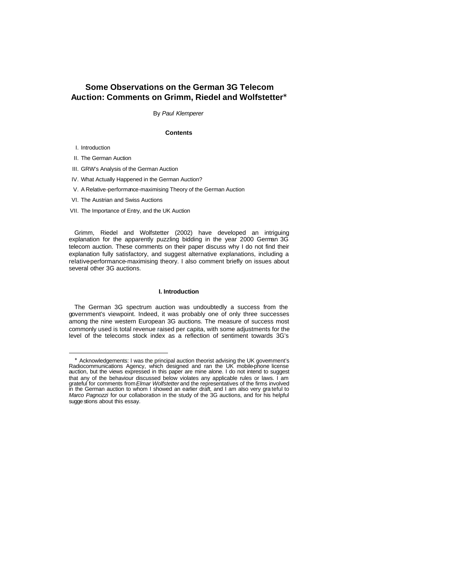## **Some Observations on the German 3G Telecom Auction: Comments on Grimm, Riedel and Wolfstetter\***

By *Paul Klemperer*

#### **Contents**

I. Introduction

II. The German Auction

III. GRW's Analysis of the German Auction

IV. What Actually Happened in the German Auction?

V. A Relative-performance-maximising Theory of the German Auction

VI. The Austrian and Swiss Auctions

VII. The Importance of Entry, and the UK Auction

Grimm, Riedel and Wolfstetter (2002) have developed an intriguing explanation for the apparently puzzling bidding in the year 2000 German 3G telecom auction. These comments on their paper discuss why I do not find their explanation fully satisfactory, and suggest alternative explanations, including a relative performance-maximising theory. I also comment briefly on issues about several other 3G auctions.

#### **I. Introduction**

The German 3G spectrum auction was undoubtedly a success from the government's viewpoint. Indeed, it was probably one of only three successes among the nine western European 3G auctions. The measure of success most commonly used is total revenue raised per capita, with some adjustments for the level of the telecoms stock index as a reflection of sentiment towards 3G's

 ∗ Acknowledgements: I was the principal auction theorist advising the UK government's Radiocommunications Agency, which designed and ran the UK mobile-phone license auction, but the views expressed in this paper are mine alone. I do not intend to suggest that any of the behaviour discussed below violates any applicable rules or laws. I am<br>grateful for comments from *Elmar Wolfstetter* and the representatives of the firms involved<br>in the German auction to whom I showed an e *Marco Pagnozzi* for our collaboration in the study of the 3G auctions, and for his helpful sugge stions about this essay.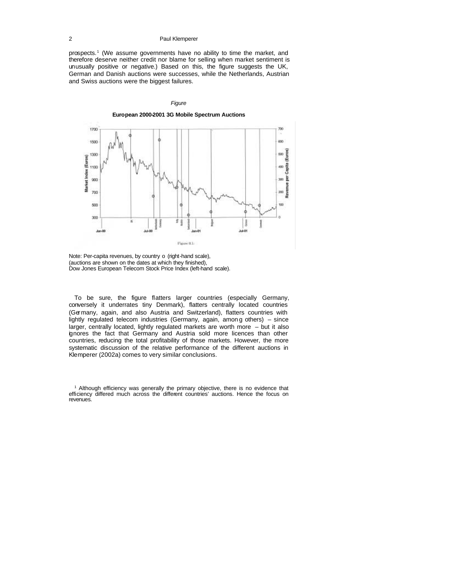prospects.<sup>1</sup> (We assume governments have no ability to time the market, and therefore deserve neither credit nor blame for selling when market sentiment is unusually positive or negative.) Based on this, the figure suggests the UK, German and Danish auctions were successes, while the Netherlands, Austrian and Swiss auctions were the biggest failures.

#### *Figure*

**European 2000-2001 3G Mobile Spectrum Auctions**



Note: Per-capita revenues, by country o (right-hand scale), (auctions are shown on the dates at which they finished), Dow Jones European Telecom Stock Price Index (left-hand scale).

To be sure, the figure flatters larger countries (especially Germany, conversely it underrates tiny Denmark), flatters centrally located countries (Germany, again, and also Austria and Switzerland), flatters countries with lightly regulated telecom industries (Germany, again, amon g others) – since larger, centrally located, lightly regulated markets are worth more – but it also ignores the fact that Germany and Austria sold more licences than other countries, reducing the total profitability of those markets. However, the more systematic discussion of the relative performance of the different auctions in Klemperer (2002a) comes to very similar conclusions.

<sup>1</sup> Although efficiency was generally the primary objective, there is no evidence that efficiency differed much across the different countries' auctions. Hence the focus on revenues.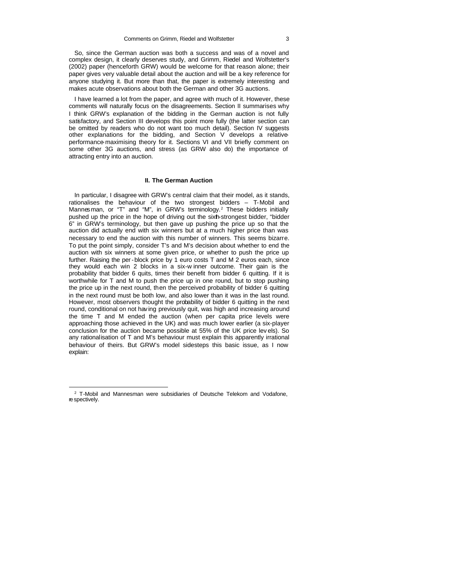So, since the German auction was both a success and was of a novel and complex design, it clearly deserves study, and Grimm, Riedel and Wolfstetter's (2002) paper (henceforth GRW) would be welcome for that reason alone; their paper gives very valuable detail about the auction and will be a key reference for anyone studying it. But more than that, the paper is extremely interesting and makes acute observations about both the German and other 3G auctions.

I have learned a lot from the paper, and agree with much of it. However, these comments will naturally focus on the disagreements. Section II summarises why I think GRW's explanation of the bidding in the German auction is not fully satisfactory, and Section III develops this point more fully (the latter section can be omitted by readers who do not want too much detail). Section IV suggests other explanations for the bidding, and Section V develops a relativeperformance-maximising theory for it. Sections VI and VII briefly comment on some other 3G auctions, and stress (as GRW also do) the importance of attracting entry into an auction.

#### **II. The German Auction**

In particular, I disagree with GRW's central claim that their model, as it stands, rationalises the behaviour of the two strongest bidders – T-Mobil and Mannesman, or "T" and "M", in GRW's terminology.<sup>2</sup> These bidders initially pushed up the price in the hope of driving out the sixth-strongest bidder, "bidder 6" in GRW's terminology, but then gave up pushing the price up so that the auction did actually end with six winners but at a much higher price than was necessary to end the auction with this number of winners. This seems bizarre. To put the point simply, consider T's and M's decision about whether to end the auction with six winners at some given price, or whether to push the price up further. Raising the per-block price by 1 euro costs T and M 2 euros each, since they would each win 2 blocks in a six-w inner outcome. Their gain is the probability that bidder 6 quits, times their benefit from bidder 6 quitting. If it is worthwhile for T and M to push the price up in one round, but to stop pushing the price up in the next round, then the perceived probability of bidder 6 quitting in the next round must be both low, and also lower than it was in the last round. However, most observers thought the probability of bidder 6 quitting in the next round, conditional on not having previously quit, was high and increasing around the time T and M ended the auction (when per capita price levels were approaching those achieved in the UK) and was much lower earlier (a six-player conclusion for the auction became possible at 55% of the UK price lev els). So any rationalisation of T and M's behaviour must explain this apparently irrational behaviour of theirs. But GRW's model sidesteps this basic issue, as I now explain:

<sup>&</sup>lt;sup>2</sup> T-Mobil and Mannesman were subsidiaries of Deutsche Telekom and Vodafone, re spectively.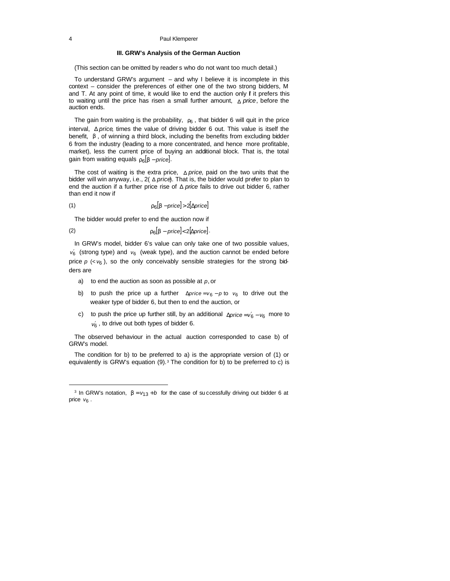#### **III. GRW's Analysis of the German Auction**

(This section can be omitted by reader s who do not want too much detail.)

To understand GRW's argument – and why I believe it is incomplete in this context – consider the preferences of either one of the two strong bidders, M and T. At any point of time, it would like to end the auction only  $f$  it prefers this to waiting until the price has risen a small further amount, Δ *price*, before the auction ends.

The gain from waiting is the probability,  $r_6$ , that bidder 6 will quit in the price interval, Δ *price*, times the value of driving bidder 6 out. This value is itself the benefit, *b* , of winning a third block, including the benefits from excluding bidder 6 from the industry (leading to a more concentrated, and hence more profitable, market), less the current price of buying an additional block. That is, the total gain from waiting equals  $r_6[b - price]$ .

The cost of waiting is the extra price, Δ *price*, paid on the two units that the bidder will win anyway, i.e., 2( Δ *price*). That is, the bidder would prefer to plan to end the auction if a further price rise of Δ *price* fails to drive out bidder 6, rather than end it now if

$$
(1) \t\t\t  $r_6[b - price] > 2[\Delta price]$
$$

The bidder would prefer to end the auction now if

$$
(2) \t\t\t  $r_6[b - price] < 2[\Delta price]$ .
$$

In GRW's model, bidder 6's value can only take one of two possible values, *v*6 ′ (strong type) and *v*6 (weak type), and the auction cannot be ended before price  $p \ll v_6$ ), so the only conceivably sensible strategies for the strong bidders are

- a) to end the auction as soon as possible at *p*, or
- b) to push the price up a further  $\Delta price = v_6 p$  to  $v_6$  to drive out the weaker type of bidder 6, but then to end the auction, or
- c) to push the price up further still, by an additional *∆price* =  $v_6'$   $v_6$  more to  $v_6$ , to drive out both types of bidder 6.

The observed behaviour in the actual auction corresponded to case b) of GRW's model.

The condition for b) to be preferred to a) is the appropriate version of (1) or equivalently is GRW's equation  $(9)$ .<sup>3</sup> The condition for b) to be preferred to c) is

<sup>&</sup>lt;sup>3</sup> In GRW's notation,  $\boldsymbol{b} = v_{13} + b$  for the case of successfully driving out bidder 6 at price  $v_6$ .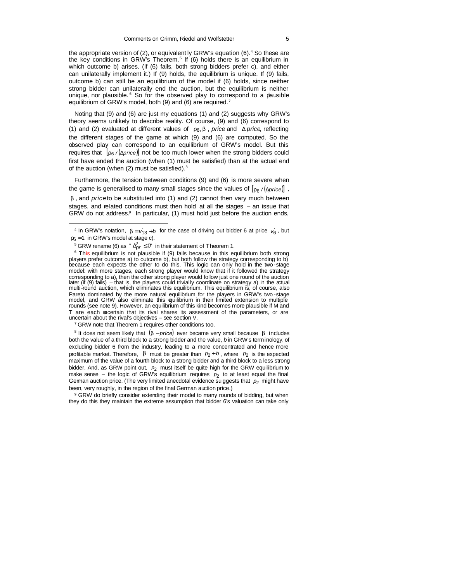the appropriate version of (2), or equivalent ly GRW's equation (6).<sup>4</sup> So these are the key conditions in GRW's Theorem.<sup>5</sup> If (6) holds there is an equilibrium in which outcome b) arises. (If (6) fails, both strong bidders prefer c), and either can unilaterally implement it.) If (9) holds, the equilibrium is unique. If (9) fails, outcome b) can still be an equilibrium of the model if (6) holds, since neither strong bidder can unilaterally end the auction, but the equilibrium is neither unique, nor plausible. <sup>6</sup> So for the observed play to correspond to a pausible equilibrium of GRW's model, both (9) and (6) are required.<sup>7</sup>

Noting that (9) and (6) are just my equations (1) and (2) suggests why GRW's theory seems unlikely to describe reality. Of course, (9) and (6) correspond to (1) and (2) evaluated at different values of  $r_6$ , *b*, *price* and  $\triangle$  *price*, reflecting the different stages of the game at which (9) and (6) are computed. So the observed play can correspond to an equilibrium of GRW's model. But this requires that [*r*<sup>6</sup> */* (Δ*price*)] not be too much lower when the strong bidders could first have ended the auction (when (1) must be satisfied) than at the actual end of the auction (when (2) must be satisfied).<sup>8</sup>

Furthermore, the tension between conditions (9) and (6) is more severe when the game is generalised to many small stages since the values of [*r*<sup>6</sup> */* (Δ*price*)] , *b* , and *price* to be substituted into (1) and (2) cannot then vary much between stages, and related conditions must then hold at all the stages – an issue that GRW do not address. $9$  In particular, (1) must hold just before the auction ends,

l

<sup>7</sup> GRW note that Theorem 1 requires other conditions too.

8 It does not seem likely that (*b* − *price*) ever became very small because *b* includes both the value of a third block to a strong bidder and the value, *b* in GRW's terminology, of excluding bidder 6 from the industry, leading to a more concentrated and hence more profitable market. Therefore,  $\bm{b}$  must be greater than  $p_2 + b$ , where  $p_2$  is the expected maximum of the value of a fourth block to a strong bidder and a third block to a less strong bidder. And, as GRW point out,  $p_2$  must itself be quite high for the GRW equilibrium to make sense – the logic of GRW's equilibrium requires  $p_2$  to at least equal the final German auction price. (The very limited anecdotal evidence su ggests that  $p_2$  might have been, very roughly, in the region of the final German auction price.)

<sup>9</sup> GRW do briefly consider extending their model to many rounds of bidding, but when they do this they maintain the extreme assumption that bidder 6's valuation can take only

<sup>&</sup>lt;sup>4</sup> In GRW's notation,  $\mathbf{b} = v_{13} + b$  for the case of driving out bidder 6 at price  $v_6$ , but  $r_6 = 1$  in GRW's model at stage c).

 $^5$  GRW rename (6) as  $\sqrt[n]{\Delta_{pr}} \leq 0$ " in their statement of Theorem 1.

<sup>&</sup>lt;sup>6</sup> This equilibrium is not plausible if (9) fails because in this equilibrium both strong players prefer outcome a) to outcome b), but both follow the strategy corresponding to b) because each expects the other to do this. This logic can only hold in the two -stage model: with more stages, each strong player would know that if it followed the strategy corresponding to a), then the other strong player would follow just one round of the auction later (if (9) fails) – that is, the players could trivially coordinate on strategy a) in the actual multi-round auction, which eliminates this equilibrium. This equilibrium is, of course, also Pareto dominated by the more natural equilibrium for the players in GRW's two -stage model, and GRW also eliminate this equilibrium in their limited extension to multiple rounds (see note 9). However, an equilibrium of this kind becomes more plausible if M and T are each uncertain that its rival shares its assessment of the parameters, or are uncertain about the rival's objectives – see section V.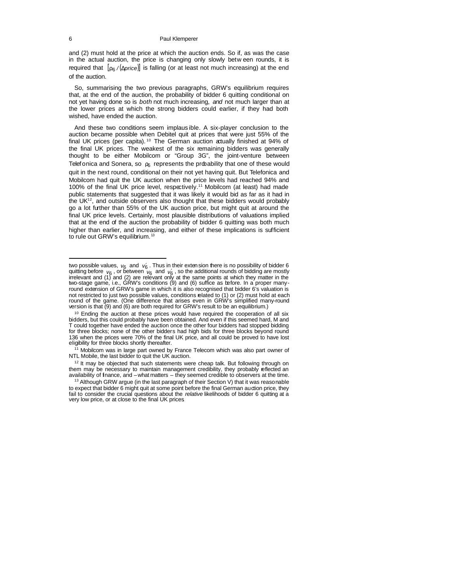and (2) must hold at the price at which the auction ends. So if, as was the case in the actual auction, the price is changing only slowly betw een rounds, it is required that [*r*<sup>6</sup> */* (Δ*price*)] is falling (or at least not much increasing) at the end of the auction.

So, summarising the two previous paragraphs, GRW's equilibrium requires that, at the end of the auction, the probability of bidder 6 quitting conditional on not yet having done so is *both* not much increasing, *and* not much larger than at the lower prices at which the strong bidders could earlier, if they had both wished, have ended the auction.

And these two conditions seem implaus ible. A six-player conclusion to the auction became possible when Debitel quit at prices that were just 55% of the final UK prices (per capita).<sup>10</sup> The German auction actually finished at 94% of the final UK prices. The weakest of the six remaining bidders was generally thought to be either Mobilcom or "Group 3G", the joint-venture between Telefonica and Sonera, so  $r_6$  represents the probability that one of these would quit in the next round, conditional on their not yet having quit. But Telefonica and Mobilcom had quit the UK auction when the price levels had reached 94% and 100% of the final UK price level, respectively.<sup>11</sup> Mobilcom (at least) had made public statements that suggested that it was likely it would bid as far as it had in the  $UK<sup>12</sup>$ , and outside observers also thought that these bidders would probably go a lot further than 55% of the UK auction price, but might quit at around the final UK price levels. Certainly, most plausible distributions of valuations implied that at the end of the auction the probability of bidder 6 quitting was both much higher than earlier, and increasing, and either of these implications is sufficient to rule out GRW's equilibrium.<sup>13</sup>

<sup>12</sup> It may be objected that such statements were cheap talk. But following through on them may be necessary to maintain management credibility, they probably reflected an availability of finance, and – what matters – they seemed credible to observers at the time.

two possible values,  $v_6$  and  $v_6'$ . Thus in their extension there is no possibility of bidder 6 quitting before  $v_6$  , or between  $v_6$  and  $v_6$  , so the additional rounds of bidding are mostly irrelevant and (1) and (2) are relevant only at the same points at which they matter in the two-stage game, i.e., GRW's conditions (9) and (6) suffice as before. In a proper manyround extension of GRW's game in which it is also recognised that bidder 6's valuation is not restricted to just two possible values, conditions related to (1) or (2) must hold at each<br>round of the game. (One difference that arises even in GRW's simplified many-round version is that (9) and (6) are both required for GRW's result to be an equilibrium.)

 $10$  Ending the auction at these prices would have required the cooperation of all six bidders, but this could probably have been obtained. And even if this seemed hard, M and T could together have ended the auction once the other four bidders had stopped bidding for three blocks; none of the other bidders had high bids for three blocks beyond round 136 when the prices were 70% of the final UK price, and all could be proved to have lost eligibility for three blocks shortly thereafter.

<sup>&</sup>lt;sup>11</sup> Mobilcom was in large part owned by France Telecom which was also part owner of NTL Mobile, the last bidder to quit the UK auction.

 $13$  Although GRW argue (in the last paragraph of their Section V) that it was reasonable to expect that bidder 6 might quit at some point before the final German auction price, they fail to consider the crucial questions about the *relative* likelihoods of bidder 6 quitting at a very low price, or at close to the final UK prices.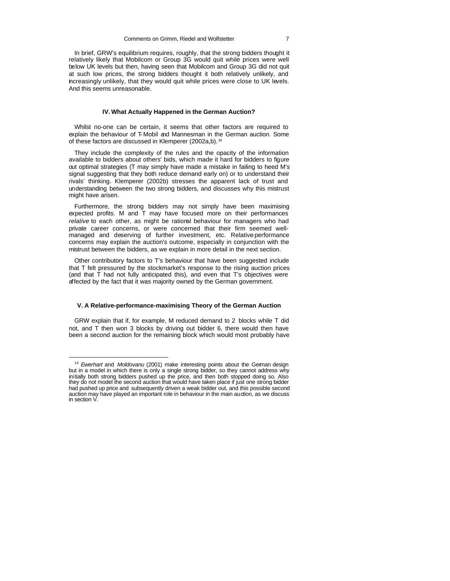In brief, GRW's equilibrium requires, roughly, that the strong bidders thought it relatively likely that Mobilcom or Group 3G would quit while prices were well below UK levels but then, having seen that Mobilcom and Group 3G did not quit at such low prices, the strong bidders thought it both relatively unlikely, and increasingly unlikely, that they would quit while prices were close to UK levels. And this seems unreasonable.

#### **IV. What Actually Happened in the German Auction?**

Whilst no-one can be certain, it seems that other factors are required to explain the behaviour of T-Mobil and Mannesman in the German auction. Some of these factors are discussed in Klemperer (2002a,b). <sup>14</sup>

They include the complexity of the rules and the opacity of the information available to bidders about others' bids, which made it hard for bidders to figure out optimal strategies (T may simply have made a mistake in failing to heed M's signal suggesting that they both reduce demand early on) or to understand their rivals' thinking. Klemperer (2002b) stresses the apparent lack of trust and understanding between the two strong bidders, and discusses why this mistrust might have arisen.

Furthermore, the strong bidders may not simply have been maximising expected profits. M and T may have focused more on their performances relative to each other, as might be rational behaviour for managers who had private career concerns, or were concerned that their firm seemed wellmanaged and deserving of further investment, etc. Relative-performance concerns may explain the auction's outcome, especially in conjunction with the mistrust between the bidders, as we explain in more detail in the next section.

Other contributory factors to T's behaviour that have been suggested include that T felt pressured by the stockmarket's response to the rising auction prices (and that T had not fully anticipated this), and even that T's objectives were affected by the fact that it was majority owned by the German government.

#### **V. A Relative-performance-maximising Theory of the German Auction**

GRW explain that if, for example, M reduced demand to 2 blocks while T did not, and T then won 3 blocks by driving out bidder 6, there would then have been a second auction for the remaining block which would most probably have

<sup>14</sup> *Ewerhart* and *Moldovanu* (2001) make interesting points about the German design but in a model in which there is only a single strong bidder, so they cannot address why initially both strong bidders pushed up the price, and then both stopped doing so. Also they do not model the second auction that would have taken place if just one strong bidder had pushed up price and subsequently driven a weak bidder out, and this possible second auction may have played an important role in behaviour in the main auction, as we discuss in section V.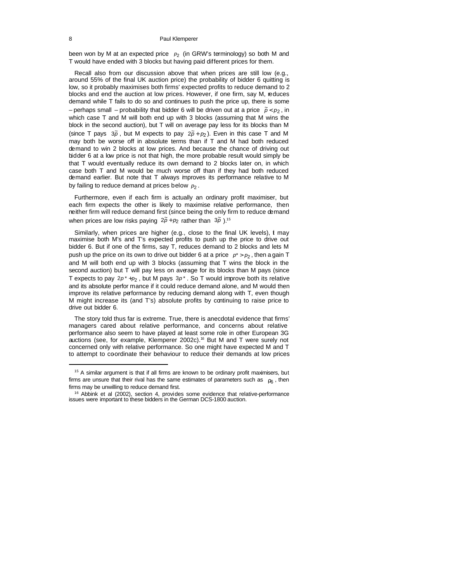been won by M at an expected price  $p_2$  (in GRW's terminology) so both M and T would have ended with 3 blocks but having paid different prices for them.

Recall also from our discussion above that when prices are still low (e.g., around 55% of the final UK auction price) the probability of bidder 6 quitting is low, so it probably maximises both firms' expected profits to reduce demand to 2 blocks and end the auction at low prices. However, if one firm, say M, reduces demand while T fails to do so and continues to push the price up, there is some  $-$  perhaps small  $-$  probability that bidder 6 will be driven out at a price  $\tilde{p}$  <  $p_2$ , in which case T and M will both end up with 3 blocks (assuming that M wins the block in the second auction), but T will on average pay less for its blocks than M (since T pays  $3\tilde{\rho}$ , but M expects to pay  $2\tilde{\rho} + p_2$ ). Even in this case T and M may both be worse off in absolute terms than if T and M had both reduced demand to win 2 blocks at low prices. And because the chance of driving out bidder 6 at a low price is not that high, the more probable result would simply be that T would eventually reduce its own demand to 2 blocks later on, in which case both T and M would be much worse off than if they had both reduced demand earlier. But note that T always improves its performance relative to M by failing to reduce demand at prices below  $\rho_{\rm 2}$  .

Furthermore, even if each firm is actually an ordinary profit maximiser, but each firm expects the other is likely to maximise relative performance, then neither firm will reduce demand first (since being the only firm to reduce demand when prices are low risks paying  $2\tilde{p} + p_2$  rather than  $3\tilde{p}$ ).<sup>15</sup>

Similarly, when prices are higher (e.g., close to the final UK levels), t may maximise both M's and T's expected profits to push up the price to drive out bidder 6. But if one of the firms, say T, reduces demand to 2 blocks and lets M push up the price on its own to drive out bidder 6 at a price  $p^*$  >  $p_2$ , then a gain T and M will both end up with 3 blocks (assuming that T wins the block in the second auction) but T will pay less on average for its blocks than M pays (since T expects to pay <sup>2</sup> 2*p \** +*p* , but M pays 3*p \** . So T would improve both its relative and its absolute perfor mance if it could reduce demand alone, and M would then improve its relative performance by reducing demand along with T, even though M might increase its (and T's) absolute profits by continuing to raise price to drive out bidder 6.

The story told thus far is extreme. True, there is anecdotal evidence that firms' managers cared about relative performance, and concerns about relative performance also seem to have played at least some role in other European 3G auctions (see, for example, Klemperer 2002c).<sup>16</sup> But M and T were surely not concerned only with relative performance. So one might have expected M and T to attempt to coordinate their behaviour to reduce their demands at low prices

<sup>&</sup>lt;sup>15</sup> A similar argument is that if all firms are known to be ordinary profit maximisers, but firms are unsure that their rival has the same estimates of parameters such as  $r_6$ , then firms may be unwilling to reduce demand first.

<sup>16</sup> Abbink et al (2002), section 4, provides some evidence that relative-performance issues were important to these bidders in the German DCS-1800 auction.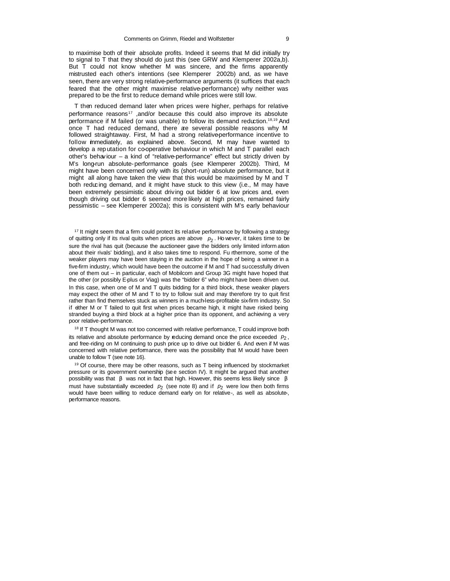to maximise both of their absolute profits. Indeed it seems that M did initially try to signal to T that they should do just this (see GRW and Klemperer 2002a,b). But T could not know whether M was sincere, and the firms apparently mistrusted each other's intentions (see Klemperer 2002b) and, as we have seen, there are very strong relative-performance arguments (it suffices that each feared that the other might maximise relative-performance) why neither was prepared to be the first to reduce demand while prices were still low.

T then reduced demand later when prices were higher, perhaps for relativeperformance reasons<sup>17</sup>, and/or because this could also improve its absolute performance if M failed (or was unable) to follow its demand reduction.18,19 And once T had reduced demand, there are several possible reasons why M followed straightaway. First, M had a strong relative-performance incentive to follow immediately, as explained above. Second, M may have wanted to develop a reputation for co-operative behaviour in which M and T parallel each other's behaviour – a kind of "relative-performance" effect but strictly driven by M's long-run absolute-performance goals (see Klemperer 2002b). Third, M might have been concerned only with its (short-run) absolute performance, but it might all along have taken the view that this would be maximised by M and T both reducing demand, and it might have stuck to this view (i.e., M may have been extremely pessimistic about driving out bidder 6 at low prices and, even though driving out bidder 6 seemed more likely at high prices, remained fairly pessimistic – see Klemperer 2002a); this is consistent with M's early behaviour

<sup>17</sup> It might seem that a firm could protect its relative performance by following a strategy of quitting only if its rival quits when prices are above  $p_2$ . Ho wever, it takes time to be sure the rival has quit (because the auctioneer gave the bidders only limited inform ation about their rivals' bidding), and it also takes time to respond. Fu rthermore, some of the weaker players may have been staying in the auction in the hope of being a winner in a five-firm industry, which would have been the outcome if M and T had successfully driven one of them out – in particular, each of Mobilcom and Group 3G might have hoped that the other (or possibly E-plus or Viag) was the "bidder 6" who might have been driven out. In this case, when one of M and T quits bidding for a third block, these weaker players may expect the other of M and T to try to follow suit and may therefore try to quit first rather than find themselves stuck as winners in a much-less-profitable six-firm industry. So if either M or T failed to quit first when prices became high, it might have risked being stranded buying a third block at a higher price than its opponent, and achieving a very poor relative-performance.

<sup>18</sup> If T thought M was not too concerned with relative performance, T could improve both its relative and absolute performance by reducing demand once the price exceeded  $p_2$ , and free-riding on M continuing to push price up to drive out bidder 6. And even if M was concerned with relative performance, there was the possibility that M would have been unable to follow T (see note 16).

 $19$  Of course, there may be other reasons, such as T being influenced by stockmarket pressure or its government ownership (see section IV). It might be argued that another possibility was that *b* was not in fact that high. However, this seems less likely since *b* must have substantially exceeded  $p_2$  (see note 8) and if  $p_2$  were low then both firms would have been willing to reduce demand early on for relative-, as well as absolute-, performance reasons.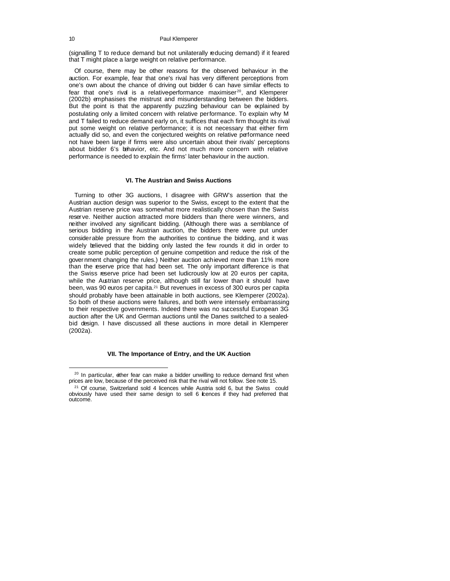(signalling T to reduce demand but not unilaterally reducing demand) if it feared that T might place a large weight on relative performance.

Of course, there may be other reasons for the observed behaviour in the auction. For example, fear that one's rival has very different perceptions from one's own about the chance of driving out bidder 6 can have similar effects to fear that one's rival is a relative performance maximiser<sup>20</sup>, and Klemperer (2002b) emphasises the mistrust and misunderstanding between the bidders. But the point is that the apparently puzzling behaviour can be explained by postulating only a limited concern with relative performance. To explain why M and T failed to reduce demand early on, it suffices that each firm thought its rival put some weight on relative performance; it is not necessary that either firm actually did so, and even the conjectured weights on relative performance need not have been large if firms were also uncertain about their rivals' perceptions about bidder 6's behavior, etc. And not much more concern with relative performance is needed to explain the firms' later behaviour in the auction.

#### **VI. The Austrian and Swiss Auctions**

Turning to other 3G auctions, I disagree with GRW's assertion that the Austrian auction design was superior to the Swiss, except to the extent that the Austrian reserve price was somewhat more realistically chosen than the Swiss reserve. Neither auction attracted more bidders than there were winners, and neither involved any significant bidding. (Although there was a semblance of serious bidding in the Austrian auction, the bidders there were put under considerable pressure from the authorities to continue the bidding, and it was widely believed that the bidding only lasted the few rounds it did in order to create some public perception of genuine competition and reduce the risk of the gover nment changing the rules.) Neither auction achieved more than 11% more than the eserve price that had been set. The only important difference is that the Swiss reserve price had been set ludicrously low at 20 euros per capita, while the Austrian reserve price, although still far lower than it should have been, was 90 euros per capita.21 But revenues in excess of 300 euros per capita should probably have been attainable in both auctions, see Klemperer (2002a). So both of these auctions were failures, and both were intensely embarrassing to their respective governments. Indeed there was no successful European 3G auction after the UK and German auctions until the Danes switched to a sealedbid design. I have discussed all these auctions in more detail in Klemperer (2002a).

#### **VII. The Importance of Entry, and the UK Auction**

<sup>&</sup>lt;sup>20</sup> In particular, ether fear can make a bidder unwilling to reduce demand first when prices are low, because of the perceived risk that the rival will not follow. See note 15.

<sup>&</sup>lt;sup>21</sup> Of course, Switzerland sold 4 licences while Austria sold 6, but the Swiss could obviously have used their same design to sell 6 icences if they had preferred that outcome.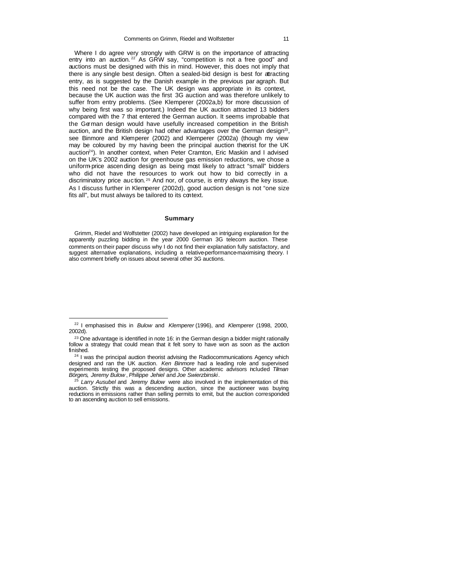Where I do agree very strongly with GRW is on the importance of attracting entry into an auction.<sup>22</sup> As GRW say, "competition is not a free good" and auctions must be designed with this in mind. However, this does not imply that there is any single best design. Often a sealed-bid design is best for attracting entry, as is suggested by the Danish example in the previous par agraph. But this need not be the case. The UK design was appropriate in its context, because the UK auction was the first 3G auction and was therefore unlikely to suffer from entry problems. (See Klemperer (2002a,b) for more discussion of why being first was so important.) Indeed the UK auction attracted 13 bidders compared with the 7 that entered the German auction. It seems improbable that the German design would have usefully increased competition in the British auction, and the British design had other advantages over the German design<sup>23</sup>, see Binmore and Klemperer (2002) and Klemperer (2002a) (though my view may be coloured by my having been the principal auction theorist for the UK auction<sup>24</sup>). In another context, when Peter Cramton, Eric Maskin and I advised on the UK's 2002 auction for greenhouse gas emission reductions, we chose a uniform-price ascen ding design as being most likely to attract "small" bidders who did not have the resources to work out how to bid correctly in a discriminatory price auction. <sup>25</sup> And nor, of course, is entry always the key issue. As I discuss further in Klemperer (2002d), good auction design is not "one size fits all", but must always be tailored to its context.

#### **Summary**

Grimm, Riedel and Wolfstetter (2002) have developed an intriguing explanation for the apparently puzzling bidding in the year 2000 German 3G telecom auction. These comments on their paper discuss why I do not find their explanation fully satisfactory, and suggest alternative explanations, including a relative-performance-maximising theory. I also comment briefly on issues about several other 3G auctions.

<sup>22</sup> I emphasised this in *Bulow* and *Klemperer* (1996), and *Klemperer* (1998, 2000, 2002d).

<sup>&</sup>lt;sup>23</sup> One advantage is identified in note 16: in the German design a bidder might rationally follow a strategy that could mean that it felt sorry to have won as soon as the auction finished.

<sup>&</sup>lt;sup>24</sup> I was the principal auction theorist advising the Radiocommunications Agency which designed and ran the UK auction. *Ken Binmore* had a leading role and supervised experiments testing the proposed designs. Other academic advisors included *Tilman Börgers*, *Jeremy Bulow* , *Philippe Jehiel* and *Joe Swierzbinski*.

<sup>25</sup> *Larry Ausubel* and *Jeremy Bulow* were also involved in the implementation of this auction. Strictly this was a descending auction, since the auctioneer was buying reductions in emissions rather than selling permits to emit, but the auction corresponded to an ascending auction to sell emissions.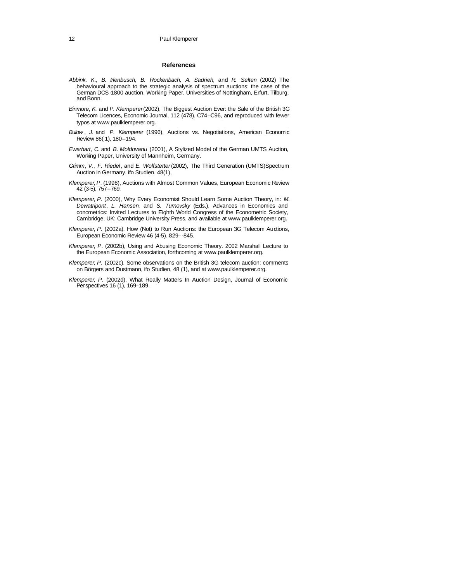#### **References**

- *Abbink, K., B. Irlenbusch, B. Rockenbach, A. Sadrieh,* and *R. Selten* (2002) The behavioural approach to the strategic analysis of spectrum auctions: the case of the German DCS-1800 auction, Working Paper, Universities of Nottingham, Erfurt, Tilburg, and Bonn.
- *Binmore*, *K*. and *P*. *Klemperer* (2002), The Biggest Auction Ever: the Sale of the British 3G Telecom Licences, Economic Journal, 112 (478), C74–C96, and reproduced with fewer typos at www.paulklemperer.org.
- *Bulow* , *J*. and *P. Klemperer* (1996), Auctions vs. Negotiations, American Economic Review 86( 1), 180–194.
- *Ewerhart*, *C*. and *B. Moldovanu* (2001), A Stylized Model of the German UMTS Auction, Working Paper, University of Mannheim, Germany.
- *Grimm*, *V*., *F. Riedel*, and *E. Wolfstetter* (2002), The Third Generation (UMTS)Spectrum Auction in Germany, ifo Studien, 48(1),
- *Klemperer*, *P*. (1998), Auctions with Almost Common Values, European Economic Review 42 (3-5), 757–769.
- *Klemperer*, *P*. (2000), Why Every Economist Should Learn Some Auction Theory, in: *M*. *Dewatripont*, *L. Hansen*, and *S. Turnovsky* (Eds.), Advances in Economics and conometrics: Invited Lectures to Eighth World Congress of the Econometric Society, Cambridge, UK: Cambridge University Press, and available at www.paulklemperer.org.
- *Klemperer*, *P*. (2002a), How (Not) to Run Auctions: the European 3G Telecom Auctions, European Economic Review 46 (4-5), 829–-845.
- *Klemperer*, *P*. (2002b), Using and Abusing Economic Theory. 2002 Marshall Lecture to the European Economic Association, forthcoming at www.paulklemperer.org.
- *Klemperer*, *P*. (2002c), Some observations on the British 3G telecom auction: comments on Börgers and Dustmann, ifo Studien, 48 (1), and at www.paulklemperer.org.
- *Klemperer*, *P*. (2002d), What Really Matters In Auction Design, Journal of Economic Perspectives 16 (1), 169–189.